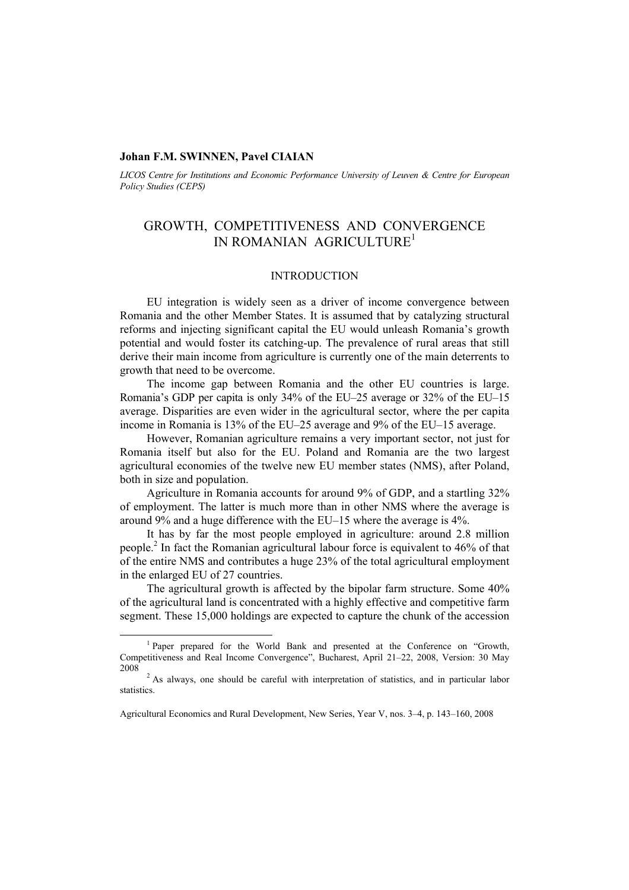### **Johan F.M. SWINNEN, Pavel CIAIAN**

*LICOS Centre for Institutions and Economic Performance University of Leuven & Centre for European Policy Studies (CEPS)* 

# GROWTH, COMPETITIVENESS AND CONVERGENCE IN ROMANIAN AGRICULTURE<sup>1</sup>

### INTRODUCTION

EU integration is widely seen as a driver of income convergence between Romania and the other Member States. It is assumed that by catalyzing structural reforms and injecting significant capital the EU would unleash Romania's growth potential and would foster its catching-up. The prevalence of rural areas that still derive their main income from agriculture is currently one of the main deterrents to growth that need to be overcome.

The income gap between Romania and the other EU countries is large. Romania's GDP per capita is only 34% of the EU–25 average or 32% of the EU–15 average. Disparities are even wider in the agricultural sector, where the per capita income in Romania is 13% of the EU–25 average and 9% of the EU–15 average.

However, Romanian agriculture remains a very important sector, not just for Romania itself but also for the EU. Poland and Romania are the two largest agricultural economies of the twelve new EU member states (NMS), after Poland, both in size and population.

Agriculture in Romania accounts for around 9% of GDP, and a startling 32% of employment. The latter is much more than in other NMS where the average is around 9% and a huge difference with the EU–15 where the average is 4%.

It has by far the most people employed in agriculture: around 2.8 million people.<sup>2</sup> In fact the Romanian agricultural labour force is equivalent to 46% of that of the entire NMS and contributes a huge 23% of the total agricultural employment in the enlarged EU of 27 countries.

The agricultural growth is affected by the bipolar farm structure. Some 40% of the agricultural land is concentrated with a highly effective and competitive farm segment. These 15,000 holdings are expected to capture the chunk of the accession

<sup>1&</sup>lt;sup>1</sup> <sup>1</sup> Paper prepared for the World Bank and presented at the Conference on "Growth, Competitiveness and Real Income Convergence", Bucharest, April 21–22, 2008, Version: 30 May 2008 2

<sup>&</sup>lt;sup>2</sup> As always, one should be careful with interpretation of statistics, and in particular labor statistics.

Agricultural Economics and Rural Development, New Series, Year V, nos. 3–4, p. 143–160, 2008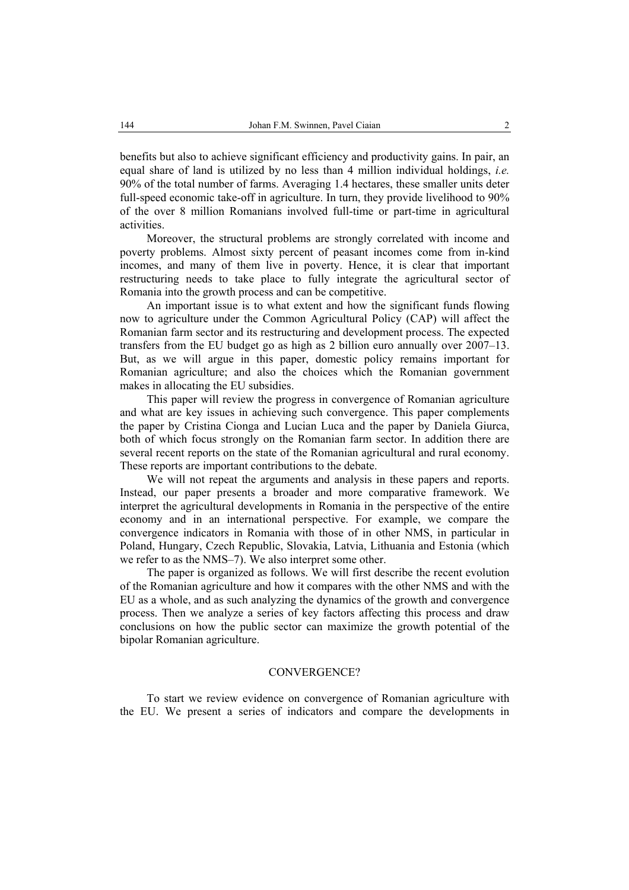benefits but also to achieve significant efficiency and productivity gains. In pair, an equal share of land is utilized by no less than 4 million individual holdings, *i.e.* 90% of the total number of farms. Averaging 1.4 hectares, these smaller units deter full-speed economic take-off in agriculture. In turn, they provide livelihood to 90% of the over 8 million Romanians involved full-time or part-time in agricultural activities.

Moreover, the structural problems are strongly correlated with income and poverty problems. Almost sixty percent of peasant incomes come from in-kind incomes, and many of them live in poverty. Hence, it is clear that important restructuring needs to take place to fully integrate the agricultural sector of Romania into the growth process and can be competitive.

An important issue is to what extent and how the significant funds flowing now to agriculture under the Common Agricultural Policy (CAP) will affect the Romanian farm sector and its restructuring and development process. The expected transfers from the EU budget go as high as 2 billion euro annually over 2007–13. But, as we will argue in this paper, domestic policy remains important for Romanian agriculture; and also the choices which the Romanian government makes in allocating the EU subsidies.

This paper will review the progress in convergence of Romanian agriculture and what are key issues in achieving such convergence. This paper complements the paper by Cristina Cionga and Lucian Luca and the paper by Daniela Giurca, both of which focus strongly on the Romanian farm sector. In addition there are several recent reports on the state of the Romanian agricultural and rural economy. These reports are important contributions to the debate.

We will not repeat the arguments and analysis in these papers and reports. Instead, our paper presents a broader and more comparative framework. We interpret the agricultural developments in Romania in the perspective of the entire economy and in an international perspective. For example, we compare the convergence indicators in Romania with those of in other NMS, in particular in Poland, Hungary, Czech Republic, Slovakia, Latvia, Lithuania and Estonia (which we refer to as the NMS–7). We also interpret some other.

The paper is organized as follows. We will first describe the recent evolution of the Romanian agriculture and how it compares with the other NMS and with the EU as a whole, and as such analyzing the dynamics of the growth and convergence process. Then we analyze a series of key factors affecting this process and draw conclusions on how the public sector can maximize the growth potential of the bipolar Romanian agriculture.

#### CONVERGENCE?

To start we review evidence on convergence of Romanian agriculture with the EU. We present a series of indicators and compare the developments in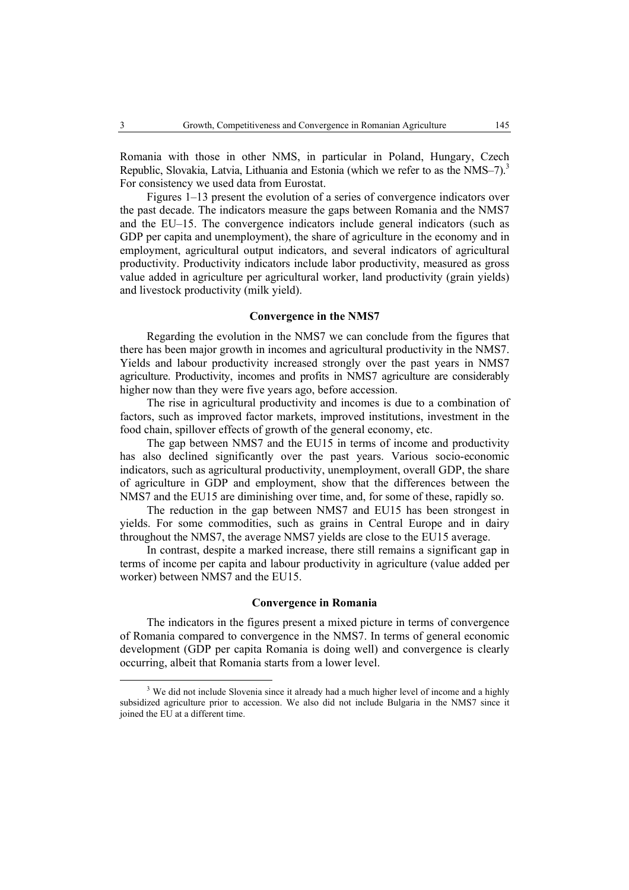Romania with those in other NMS, in particular in Poland, Hungary, Czech Republic, Slovakia, Latvia, Lithuania and Estonia (which we refer to as the NMS–7).<sup>3</sup> For consistency we used data from Eurostat.

Figures 1–13 present the evolution of a series of convergence indicators over the past decade. The indicators measure the gaps between Romania and the NMS7 and the EU–15. The convergence indicators include general indicators (such as GDP per capita and unemployment), the share of agriculture in the economy and in employment, agricultural output indicators, and several indicators of agricultural productivity. Productivity indicators include labor productivity, measured as gross value added in agriculture per agricultural worker, land productivity (grain yields) and livestock productivity (milk yield).

#### **Convergence in the NMS7**

Regarding the evolution in the NMS7 we can conclude from the figures that there has been major growth in incomes and agricultural productivity in the NMS7. Yields and labour productivity increased strongly over the past years in NMS7 agriculture. Productivity, incomes and profits in NMS7 agriculture are considerably higher now than they were five years ago, before accession.

The rise in agricultural productivity and incomes is due to a combination of factors, such as improved factor markets, improved institutions, investment in the food chain, spillover effects of growth of the general economy, etc.

The gap between NMS7 and the EU15 in terms of income and productivity has also declined significantly over the past years. Various socio-economic indicators, such as agricultural productivity, unemployment, overall GDP, the share of agriculture in GDP and employment, show that the differences between the NMS7 and the EU15 are diminishing over time, and, for some of these, rapidly so.

The reduction in the gap between NMS7 and EU15 has been strongest in yields. For some commodities, such as grains in Central Europe and in dairy throughout the NMS7, the average NMS7 yields are close to the EU15 average.

In contrast, despite a marked increase, there still remains a significant gap in terms of income per capita and labour productivity in agriculture (value added per worker) between NMS7 and the EU15.

### **Convergence in Romania**

The indicators in the figures present a mixed picture in terms of convergence of Romania compared to convergence in the NMS7. In terms of general economic development (GDP per capita Romania is doing well) and convergence is clearly occurring, albeit that Romania starts from a lower level.

 <sup>3</sup> <sup>3</sup> We did not include Slovenia since it already had a much higher level of income and a highly subsidized agriculture prior to accession. We also did not include Bulgaria in the NMS7 since it joined the EU at a different time.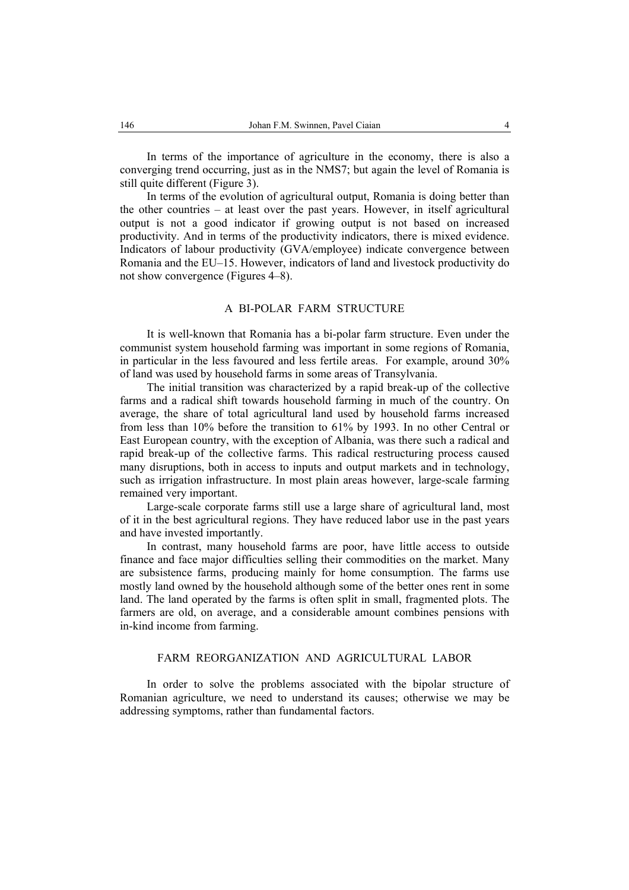In terms of the importance of agriculture in the economy, there is also a converging trend occurring, just as in the NMS7; but again the level of Romania is still quite different (Figure 3).

In terms of the evolution of agricultural output, Romania is doing better than the other countries – at least over the past years. However, in itself agricultural output is not a good indicator if growing output is not based on increased productivity. And in terms of the productivity indicators, there is mixed evidence. Indicators of labour productivity (GVA/employee) indicate convergence between Romania and the EU–15. However, indicators of land and livestock productivity do not show convergence (Figures 4–8).

# A BI-POLAR FARM STRUCTURE

It is well-known that Romania has a bi-polar farm structure. Even under the communist system household farming was important in some regions of Romania, in particular in the less favoured and less fertile areas. For example, around 30% of land was used by household farms in some areas of Transylvania.

The initial transition was characterized by a rapid break-up of the collective farms and a radical shift towards household farming in much of the country. On average, the share of total agricultural land used by household farms increased from less than 10% before the transition to 61% by 1993. In no other Central or East European country, with the exception of Albania, was there such a radical and rapid break-up of the collective farms. This radical restructuring process caused many disruptions, both in access to inputs and output markets and in technology, such as irrigation infrastructure. In most plain areas however, large-scale farming remained very important.

Large-scale corporate farms still use a large share of agricultural land, most of it in the best agricultural regions. They have reduced labor use in the past years and have invested importantly.

In contrast, many household farms are poor, have little access to outside finance and face major difficulties selling their commodities on the market. Many are subsistence farms, producing mainly for home consumption. The farms use mostly land owned by the household although some of the better ones rent in some land. The land operated by the farms is often split in small, fragmented plots. The farmers are old, on average, and a considerable amount combines pensions with in-kind income from farming.

# FARM REORGANIZATION AND AGRICULTURAL LABOR

In order to solve the problems associated with the bipolar structure of Romanian agriculture, we need to understand its causes; otherwise we may be addressing symptoms, rather than fundamental factors.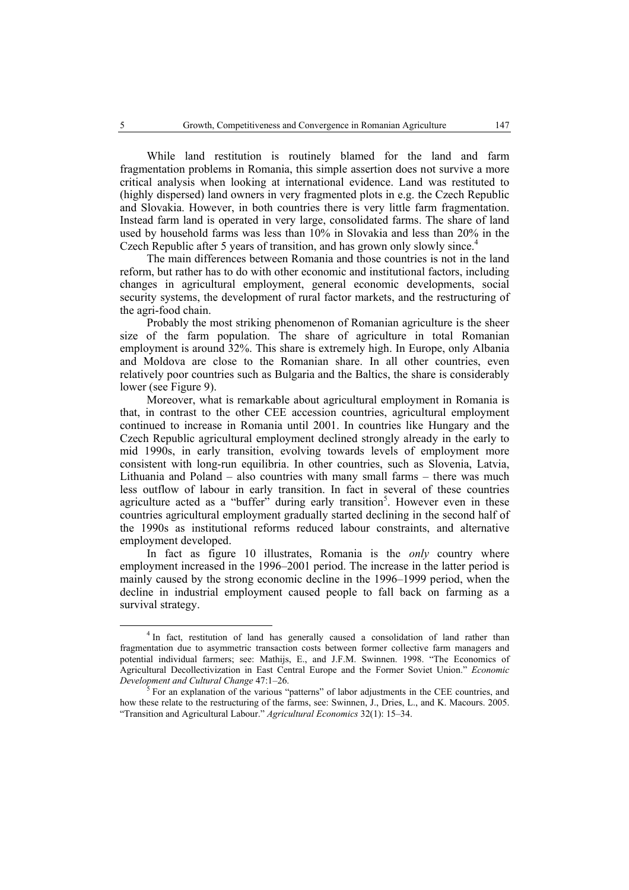While land restitution is routinely blamed for the land and farm fragmentation problems in Romania, this simple assertion does not survive a more critical analysis when looking at international evidence. Land was restituted to (highly dispersed) land owners in very fragmented plots in e.g. the Czech Republic and Slovakia. However, in both countries there is very little farm fragmentation. Instead farm land is operated in very large, consolidated farms. The share of land used by household farms was less than 10% in Slovakia and less than 20% in the Czech Republic after 5 years of transition, and has grown only slowly since.<sup>4</sup>

The main differences between Romania and those countries is not in the land reform, but rather has to do with other economic and institutional factors, including changes in agricultural employment, general economic developments, social security systems, the development of rural factor markets, and the restructuring of the agri-food chain.

Probably the most striking phenomenon of Romanian agriculture is the sheer size of the farm population. The share of agriculture in total Romanian employment is around 32%. This share is extremely high. In Europe, only Albania and Moldova are close to the Romanian share. In all other countries, even relatively poor countries such as Bulgaria and the Baltics, the share is considerably lower (see Figure 9).

Moreover, what is remarkable about agricultural employment in Romania is that, in contrast to the other CEE accession countries, agricultural employment continued to increase in Romania until 2001. In countries like Hungary and the Czech Republic agricultural employment declined strongly already in the early to mid 1990s, in early transition, evolving towards levels of employment more consistent with long-run equilibria. In other countries, such as Slovenia, Latvia, Lithuania and Poland – also countries with many small farms – there was much less outflow of labour in early transition. In fact in several of these countries agriculture acted as a "buffer" during early transition<sup>5</sup>. However even in these countries agricultural employment gradually started declining in the second half of the 1990s as institutional reforms reduced labour constraints, and alternative employment developed.

In fact as figure 10 illustrates, Romania is the *only* country where employment increased in the 1996–2001 period. The increase in the latter period is mainly caused by the strong economic decline in the 1996–1999 period, when the decline in industrial employment caused people to fall back on farming as a survival strategy.

 $\overline{4}$ <sup>4</sup> In fact, restitution of land has generally caused a consolidation of land rather than fragmentation due to asymmetric transaction costs between former collective farm managers and potential individual farmers; see: Mathijs, E., and J.F.M. Swinnen. 1998. "The Economics of Agricultural Decollectivization in East Central Europe and the Former Soviet Union." *Economic Development and Cultural Change* 47:1–26. 5

For an explanation of the various "patterns" of labor adjustments in the CEE countries, and how these relate to the restructuring of the farms, see: Swinnen, J., Dries, L., and K. Macours. 2005. "Transition and Agricultural Labour." *Agricultural Economics* 32(1): 15–34.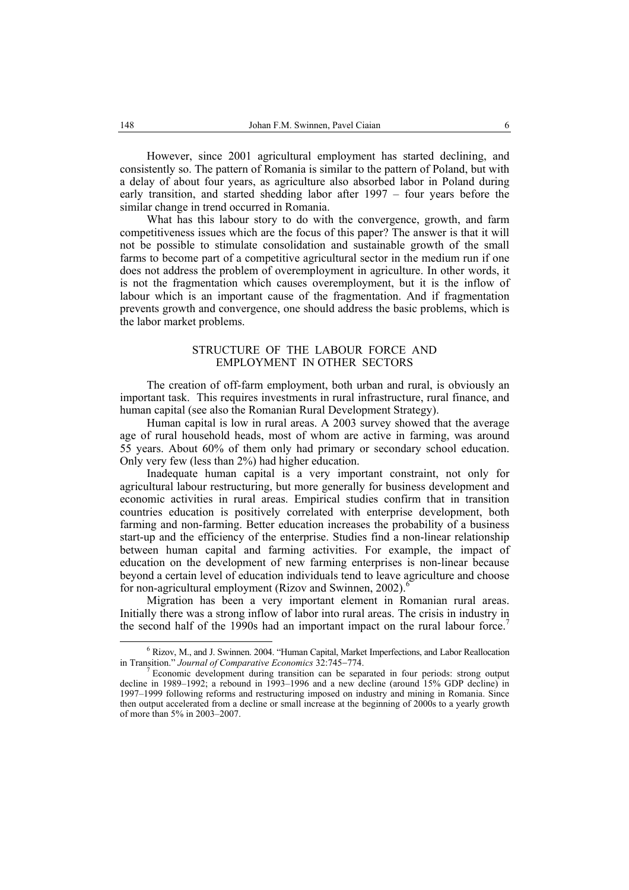However, since 2001 agricultural employment has started declining, and consistently so. The pattern of Romania is similar to the pattern of Poland, but with a delay of about four years, as agriculture also absorbed labor in Poland during early transition, and started shedding labor after 1997 – four years before the similar change in trend occurred in Romania.

What has this labour story to do with the convergence, growth, and farm competitiveness issues which are the focus of this paper? The answer is that it will not be possible to stimulate consolidation and sustainable growth of the small farms to become part of a competitive agricultural sector in the medium run if one does not address the problem of overemployment in agriculture. In other words, it is not the fragmentation which causes overemployment, but it is the inflow of labour which is an important cause of the fragmentation. And if fragmentation prevents growth and convergence, one should address the basic problems, which is the labor market problems.

### STRUCTURE OF THE LABOUR FORCE AND EMPLOYMENT IN OTHER SECTORS

The creation of off-farm employment, both urban and rural, is obviously an important task. This requires investments in rural infrastructure, rural finance, and human capital (see also the Romanian Rural Development Strategy).

Human capital is low in rural areas. A 2003 survey showed that the average age of rural household heads, most of whom are active in farming, was around 55 years. About 60% of them only had primary or secondary school education. Only very few (less than 2%) had higher education.

Inadequate human capital is a very important constraint, not only for agricultural labour restructuring, but more generally for business development and economic activities in rural areas. Empirical studies confirm that in transition countries education is positively correlated with enterprise development, both farming and non-farming. Better education increases the probability of a business start-up and the efficiency of the enterprise. Studies find a non-linear relationship between human capital and farming activities. For example, the impact of education on the development of new farming enterprises is non-linear because beyond a certain level of education individuals tend to leave agriculture and choose for non-agricultural employment (Rizov and Swinnen, 2002).<sup>4</sup>

Migration has been a very important element in Romanian rural areas. Initially there was a strong inflow of labor into rural areas. The crisis in industry in the second half of the 1990s had an important impact on the rural labour force.<sup>7</sup>

 <sup>6</sup>  $6$  Rizov, M., and J. Swinnen. 2004. "Human Capital, Market Imperfections, and Labor Reallocation in Transition." *Journal of Comparative Economics* 32:745<sup>−</sup>774. 7

Economic development during transition can be separated in four periods: strong output decline in 1989–1992; a rebound in 1993–1996 and a new decline (around 15% GDP decline) in 1997–1999 following reforms and restructuring imposed on industry and mining in Romania. Since then output accelerated from a decline or small increase at the beginning of 2000s to a yearly growth of more than 5% in 2003–2007.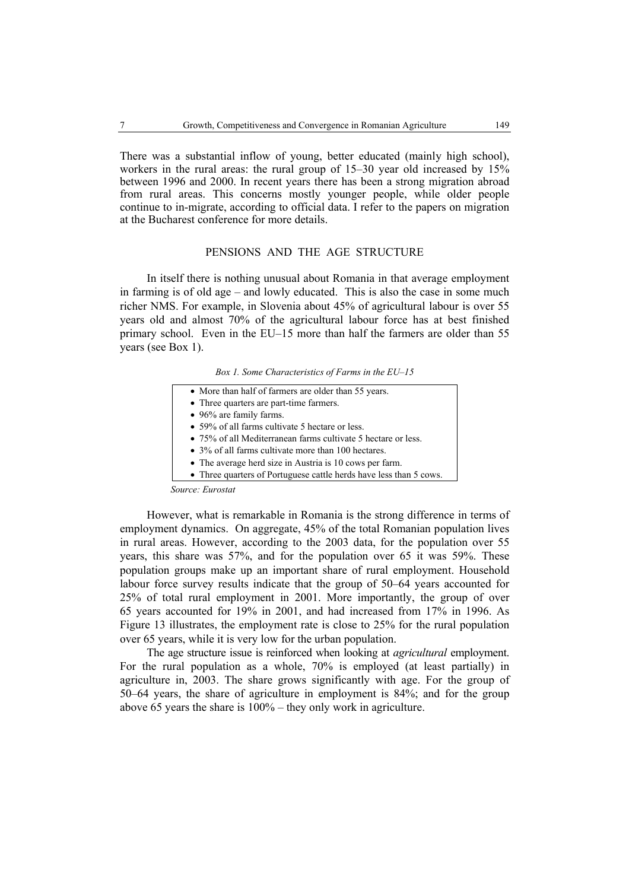There was a substantial inflow of young, better educated (mainly high school), workers in the rural areas: the rural group of 15–30 year old increased by 15% between 1996 and 2000. In recent years there has been a strong migration abroad from rural areas. This concerns mostly younger people, while older people continue to in-migrate, according to official data. I refer to the papers on migration at the Bucharest conference for more details.

# PENSIONS AND THE AGE STRUCTURE

In itself there is nothing unusual about Romania in that average employment in farming is of old age – and lowly educated. This is also the case in some much richer NMS. For example, in Slovenia about 45% of agricultural labour is over 55 years old and almost 70% of the agricultural labour force has at best finished primary school. Even in the EU–15 more than half the farmers are older than 55 years (see Box 1).

*Box 1. Some Characteristics of Farms in the EU–15* 

| • Three quarters are part-time farmers.                            |
|--------------------------------------------------------------------|
| • 96% are family farms.                                            |
| • 59% of all farms cultivate 5 hectare or less.                    |
| • 75% of all Mediterranean farms cultivate 5 hectare or less.      |
| • 3% of all farms cultivate more than 100 hectares.                |
| • The average herd size in Austria is 10 cows per farm.            |
| • Three quarters of Portuguese cattle herds have less than 5 cows. |

However, what is remarkable in Romania is the strong difference in terms of employment dynamics. On aggregate, 45% of the total Romanian population lives in rural areas. However, according to the 2003 data, for the population over 55 years, this share was 57%, and for the population over 65 it was 59%. These population groups make up an important share of rural employment. Household labour force survey results indicate that the group of 50–64 years accounted for 25% of total rural employment in 2001. More importantly, the group of over 65 years accounted for 19% in 2001, and had increased from 17% in 1996. As Figure 13 illustrates, the employment rate is close to 25% for the rural population over 65 years, while it is very low for the urban population.

The age structure issue is reinforced when looking at *agricultural* employment. For the rural population as a whole, 70% is employed (at least partially) in agriculture in, 2003. The share grows significantly with age. For the group of 50–64 years, the share of agriculture in employment is 84%; and for the group above 65 years the share is 100% – they only work in agriculture.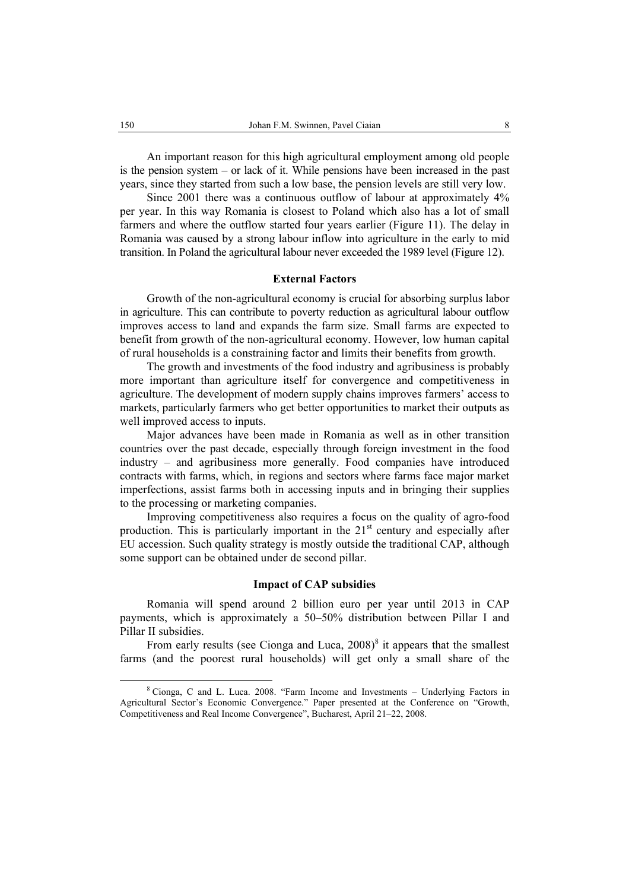An important reason for this high agricultural employment among old people is the pension system – or lack of it. While pensions have been increased in the past years, since they started from such a low base, the pension levels are still very low.

Since 2001 there was a continuous outflow of labour at approximately 4% per year. In this way Romania is closest to Poland which also has a lot of small farmers and where the outflow started four years earlier (Figure 11). The delay in Romania was caused by a strong labour inflow into agriculture in the early to mid transition. In Poland the agricultural labour never exceeded the 1989 level (Figure 12).

#### **External Factors**

Growth of the non-agricultural economy is crucial for absorbing surplus labor in agriculture. This can contribute to poverty reduction as agricultural labour outflow improves access to land and expands the farm size. Small farms are expected to benefit from growth of the non-agricultural economy. However, low human capital of rural households is a constraining factor and limits their benefits from growth.

The growth and investments of the food industry and agribusiness is probably more important than agriculture itself for convergence and competitiveness in agriculture. The development of modern supply chains improves farmers' access to markets, particularly farmers who get better opportunities to market their outputs as well improved access to inputs.

Major advances have been made in Romania as well as in other transition countries over the past decade, especially through foreign investment in the food industry – and agribusiness more generally. Food companies have introduced contracts with farms, which, in regions and sectors where farms face major market imperfections, assist farms both in accessing inputs and in bringing their supplies to the processing or marketing companies.

Improving competitiveness also requires a focus on the quality of agro-food production. This is particularly important in the  $21<sup>st</sup>$  century and especially after EU accession. Such quality strategy is mostly outside the traditional CAP, although some support can be obtained under de second pillar.

### **Impact of CAP subsidies**

Romania will spend around 2 billion euro per year until 2013 in CAP payments, which is approximately a 50–50% distribution between Pillar I and Pillar II subsidies.

From early results (see Cionga and Luca,  $2008$ <sup>8</sup> it appears that the smallest farms (and the poorest rural households) will get only a small share of the

 $\frac{8}{3}$  Cionga, C and L. Luca. 2008. "Farm Income and Investments – Underlying Factors in Agricultural Sector's Economic Convergence." Paper presented at the Conference on "Growth, Competitiveness and Real Income Convergence", Bucharest, April 21–22, 2008.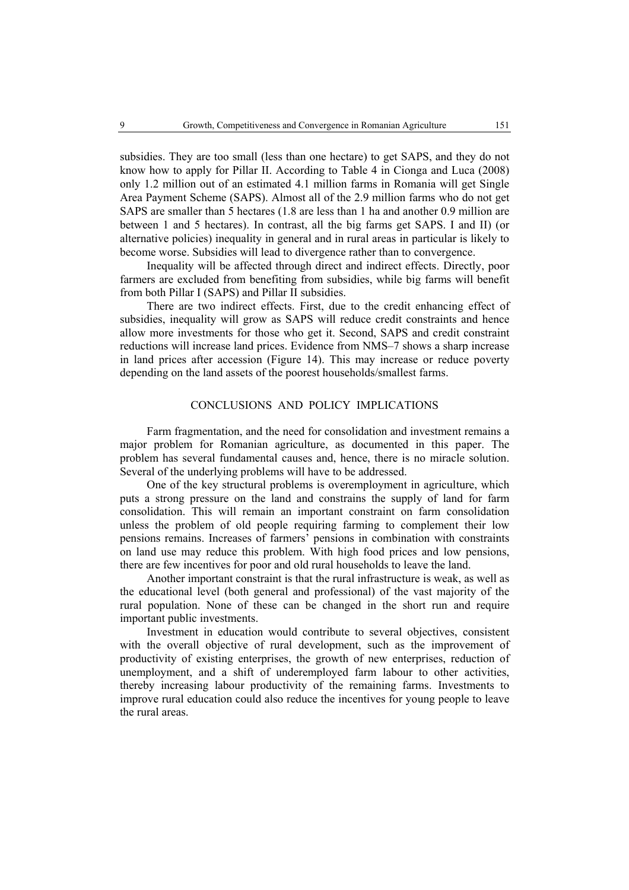subsidies. They are too small (less than one hectare) to get SAPS, and they do not know how to apply for Pillar II. According to Table 4 in Cionga and Luca (2008) only 1.2 million out of an estimated 4.1 million farms in Romania will get Single Area Payment Scheme (SAPS). Almost all of the 2.9 million farms who do not get SAPS are smaller than 5 hectares (1.8 are less than 1 ha and another 0.9 million are between 1 and 5 hectares). In contrast, all the big farms get SAPS. I and II) (or alternative policies) inequality in general and in rural areas in particular is likely to become worse. Subsidies will lead to divergence rather than to convergence.

Inequality will be affected through direct and indirect effects. Directly, poor farmers are excluded from benefiting from subsidies, while big farms will benefit from both Pillar I (SAPS) and Pillar II subsidies.

There are two indirect effects. First, due to the credit enhancing effect of subsidies, inequality will grow as SAPS will reduce credit constraints and hence allow more investments for those who get it. Second, SAPS and credit constraint reductions will increase land prices. Evidence from NMS–7 shows a sharp increase in land prices after accession (Figure 14). This may increase or reduce poverty depending on the land assets of the poorest households/smallest farms.

# CONCLUSIONS AND POLICY IMPLICATIONS

Farm fragmentation, and the need for consolidation and investment remains a major problem for Romanian agriculture, as documented in this paper. The problem has several fundamental causes and, hence, there is no miracle solution. Several of the underlying problems will have to be addressed.

One of the key structural problems is overemployment in agriculture, which puts a strong pressure on the land and constrains the supply of land for farm consolidation. This will remain an important constraint on farm consolidation unless the problem of old people requiring farming to complement their low pensions remains. Increases of farmers' pensions in combination with constraints on land use may reduce this problem. With high food prices and low pensions, there are few incentives for poor and old rural households to leave the land.

Another important constraint is that the rural infrastructure is weak, as well as the educational level (both general and professional) of the vast majority of the rural population. None of these can be changed in the short run and require important public investments.

Investment in education would contribute to several objectives, consistent with the overall objective of rural development, such as the improvement of productivity of existing enterprises, the growth of new enterprises, reduction of unemployment, and a shift of underemployed farm labour to other activities, thereby increasing labour productivity of the remaining farms. Investments to improve rural education could also reduce the incentives for young people to leave the rural areas.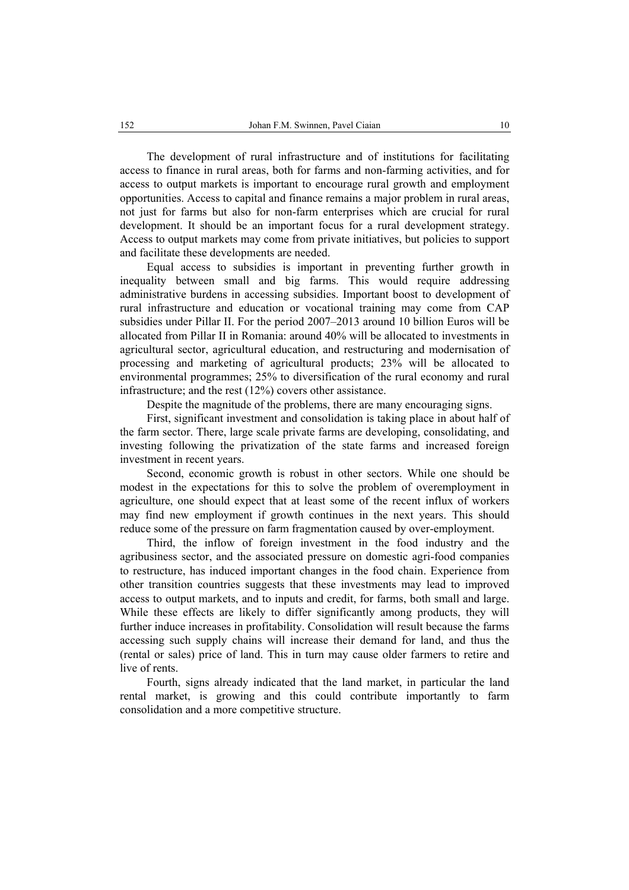The development of rural infrastructure and of institutions for facilitating access to finance in rural areas, both for farms and non-farming activities, and for access to output markets is important to encourage rural growth and employment opportunities. Access to capital and finance remains a major problem in rural areas, not just for farms but also for non-farm enterprises which are crucial for rural development. It should be an important focus for a rural development strategy. Access to output markets may come from private initiatives, but policies to support and facilitate these developments are needed.

Equal access to subsidies is important in preventing further growth in inequality between small and big farms. This would require addressing administrative burdens in accessing subsidies. Important boost to development of rural infrastructure and education or vocational training may come from CAP subsidies under Pillar II. For the period 2007–2013 around 10 billion Euros will be allocated from Pillar II in Romania: around 40% will be allocated to investments in agricultural sector, agricultural education, and restructuring and modernisation of processing and marketing of agricultural products; 23% will be allocated to environmental programmes; 25% to diversification of the rural economy and rural infrastructure; and the rest (12%) covers other assistance.

Despite the magnitude of the problems, there are many encouraging signs.

First, significant investment and consolidation is taking place in about half of the farm sector. There, large scale private farms are developing, consolidating, and investing following the privatization of the state farms and increased foreign investment in recent years.

Second, economic growth is robust in other sectors. While one should be modest in the expectations for this to solve the problem of overemployment in agriculture, one should expect that at least some of the recent influx of workers may find new employment if growth continues in the next years. This should reduce some of the pressure on farm fragmentation caused by over-employment.

Third, the inflow of foreign investment in the food industry and the agribusiness sector, and the associated pressure on domestic agri-food companies to restructure, has induced important changes in the food chain. Experience from other transition countries suggests that these investments may lead to improved access to output markets, and to inputs and credit, for farms, both small and large. While these effects are likely to differ significantly among products, they will further induce increases in profitability. Consolidation will result because the farms accessing such supply chains will increase their demand for land, and thus the (rental or sales) price of land. This in turn may cause older farmers to retire and live of rents.

Fourth, signs already indicated that the land market, in particular the land rental market, is growing and this could contribute importantly to farm consolidation and a more competitive structure.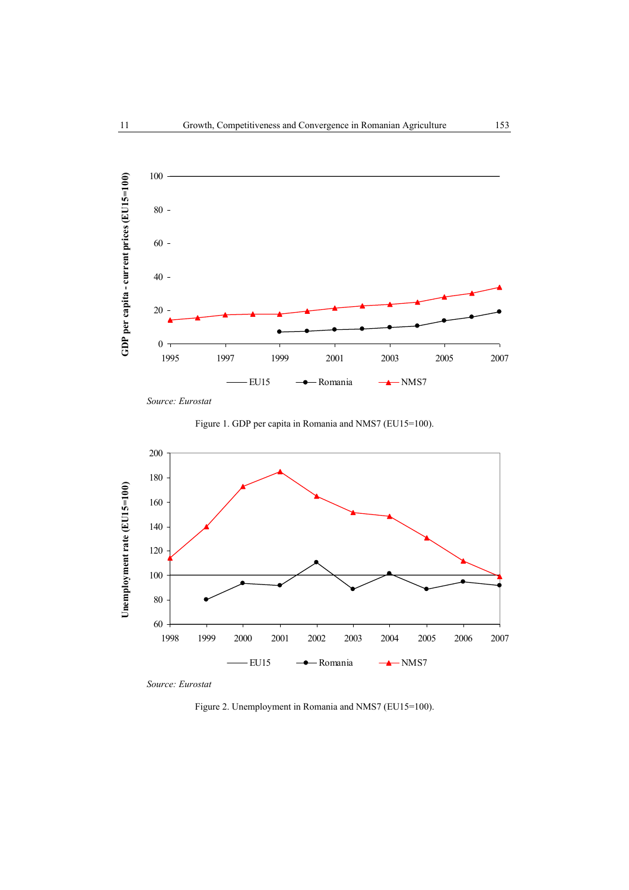

*Source: Eurostat* 





*Source: Eurostat* 

Figure 2. Unemployment in Romania and NMS7 (EU15=100).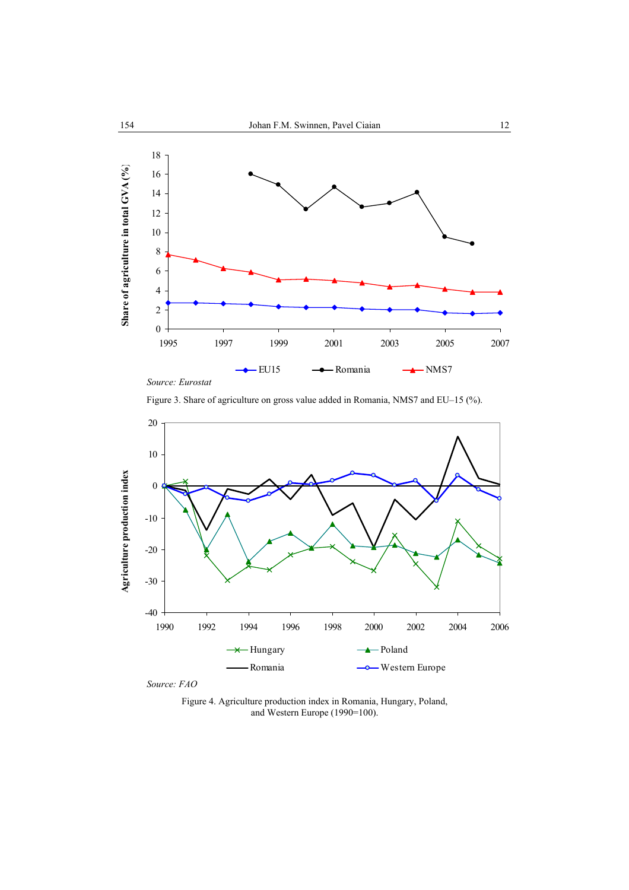

Figure 3. Share of agriculture on gross value added in Romania, NMS7 and EU–15 (%).



*Source: FAO* 

Figure 4. Agriculture production index in Romania, Hungary, Poland, and Western Europe (1990=100).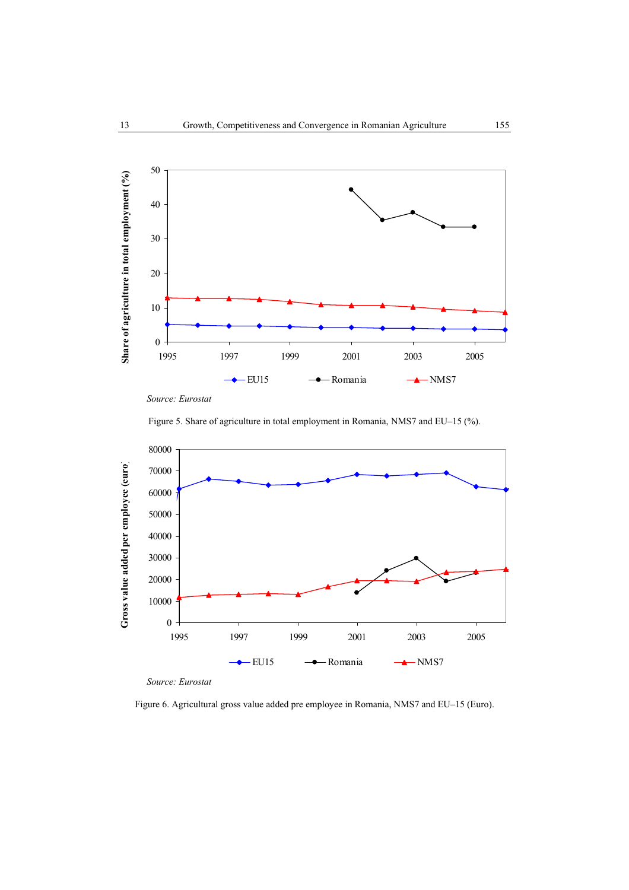

*Source: Eurostat* 





*Source: Eurostat* 

Figure 6. Agricultural gross value added pre employee in Romania, NMS7 and EU–15 (Euro).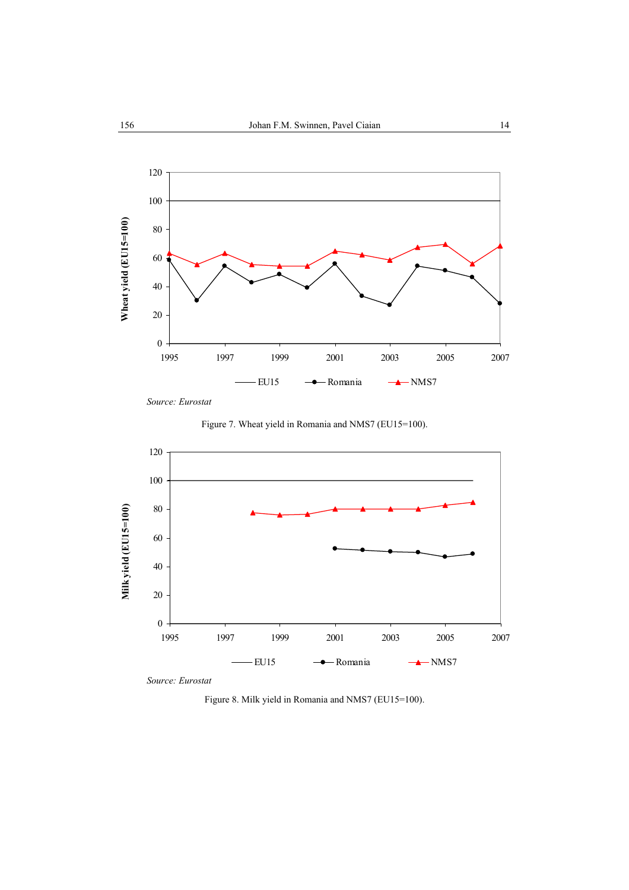

*Source: Eurostat* 





*Source: Eurostat* 

Figure 8. Milk yield in Romania and NMS7 (EU15=100).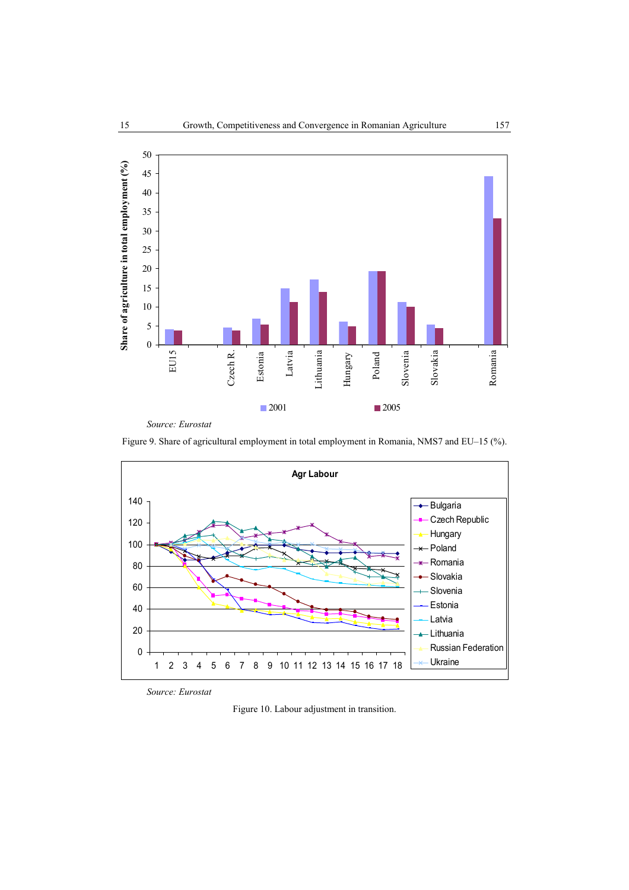

*Source: Eurostat* 

Figure 9. Share of agricultural employment in total employment in Romania, NMS7 and EU–15 (%).



*Source: Eurostat* 

Figure 10. Labour adjustment in transition.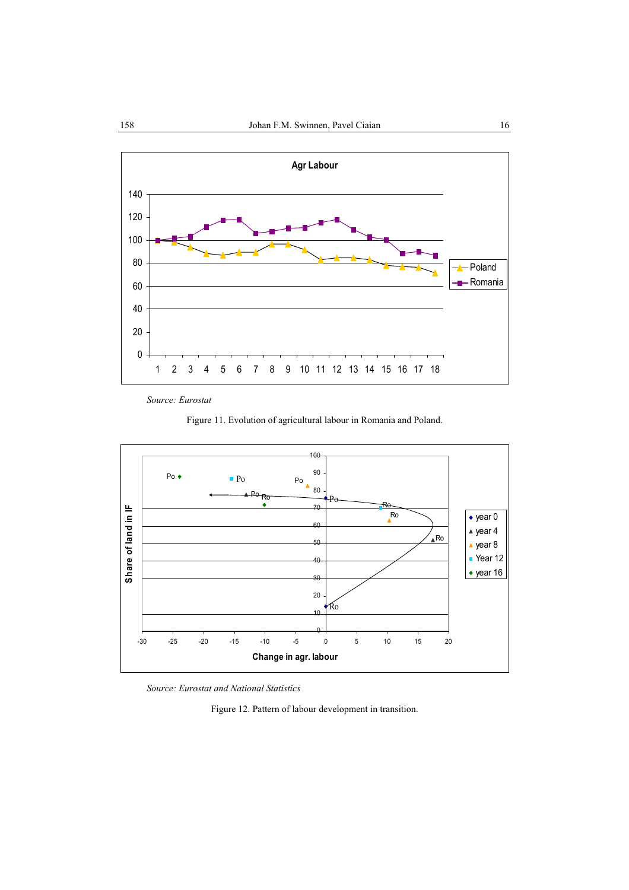

*Source: Eurostat* 





*Source: Eurostat and National Statistics* 

Figure 12. Pattern of labour development in transition.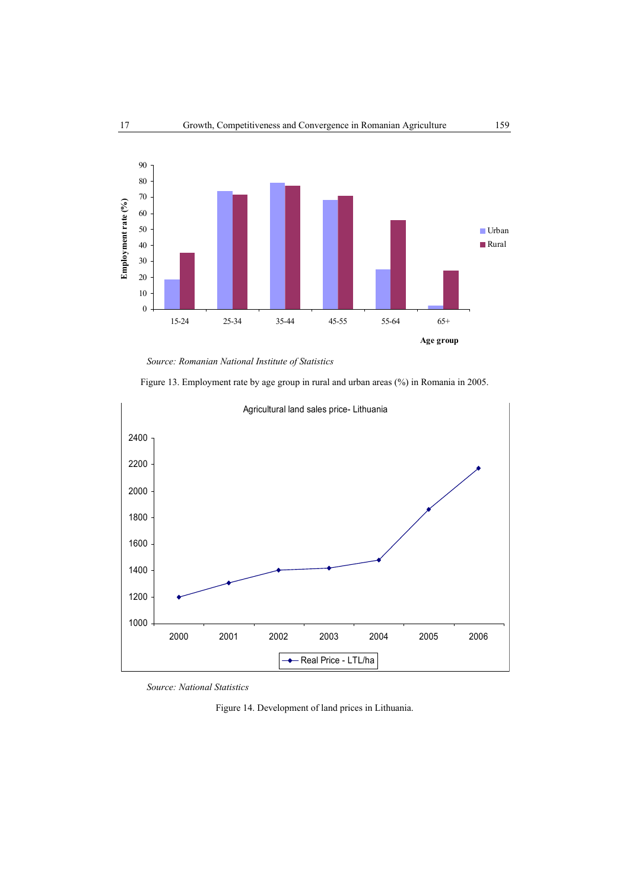

*Source: Romanian National Institute of Statistics* 

Figure 13. Employment rate by age group in rural and urban areas (%) in Romania in 2005.



*Source: National Statistics* 

Figure 14. Development of land prices in Lithuania.